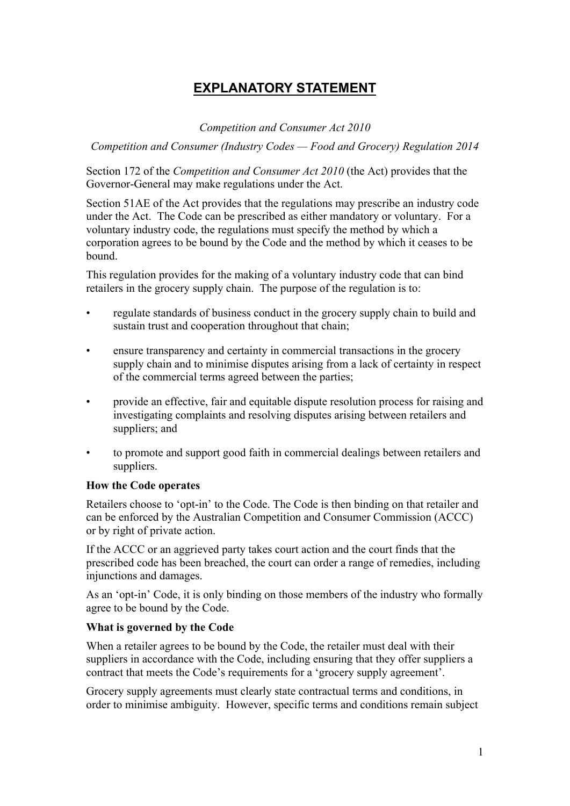# **EXPLANATORY STATEMENT**

*Competition and Consumer Act 2010* 

*Competition and Consumer (Industry Codes — Food and Grocery) Regulation 2014* 

Section 172 of the *Competition and Consumer Act 2010* (the Act) provides that the Governor-General may make regulations under the Act.

Section 51AE of the Act provides that the regulations may prescribe an industry code under the Act. The Code can be prescribed as either mandatory or voluntary. For a voluntary industry code, the regulations must specify the method by which a corporation agrees to be bound by the Code and the method by which it ceases to be bound.

This regulation provides for the making of a voluntary industry code that can bind retailers in the grocery supply chain. The purpose of the regulation is to:

- regulate standards of business conduct in the grocery supply chain to build and sustain trust and cooperation throughout that chain;
- ensure transparency and certainty in commercial transactions in the grocery supply chain and to minimise disputes arising from a lack of certainty in respect of the commercial terms agreed between the parties;
- provide an effective, fair and equitable dispute resolution process for raising and investigating complaints and resolving disputes arising between retailers and suppliers; and
- to promote and support good faith in commercial dealings between retailers and suppliers.

#### **How the Code operates**

Retailers choose to 'opt-in' to the Code. The Code is then binding on that retailer and can be enforced by the Australian Competition and Consumer Commission (ACCC) or by right of private action.

If the ACCC or an aggrieved party takes court action and the court finds that the prescribed code has been breached, the court can order a range of remedies, including injunctions and damages.

As an 'opt-in' Code, it is only binding on those members of the industry who formally agree to be bound by the Code.

#### **What is governed by the Code**

When a retailer agrees to be bound by the Code, the retailer must deal with their suppliers in accordance with the Code, including ensuring that they offer suppliers a contract that meets the Code's requirements for a 'grocery supply agreement'.

Grocery supply agreements must clearly state contractual terms and conditions, in order to minimise ambiguity. However, specific terms and conditions remain subject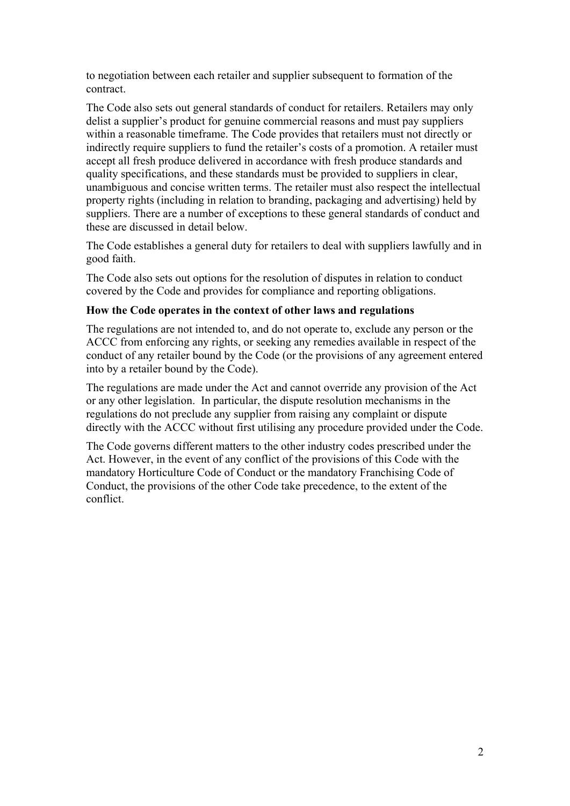to negotiation between each retailer and supplier subsequent to formation of the contract.

The Code also sets out general standards of conduct for retailers. Retailers may only delist a supplier's product for genuine commercial reasons and must pay suppliers within a reasonable timeframe. The Code provides that retailers must not directly or indirectly require suppliers to fund the retailer's costs of a promotion. A retailer must accept all fresh produce delivered in accordance with fresh produce standards and quality specifications, and these standards must be provided to suppliers in clear, unambiguous and concise written terms. The retailer must also respect the intellectual property rights (including in relation to branding, packaging and advertising) held by suppliers. There are a number of exceptions to these general standards of conduct and these are discussed in detail below.

The Code establishes a general duty for retailers to deal with suppliers lawfully and in good faith.

The Code also sets out options for the resolution of disputes in relation to conduct covered by the Code and provides for compliance and reporting obligations.

#### **How the Code operates in the context of other laws and regulations**

The regulations are not intended to, and do not operate to, exclude any person or the ACCC from enforcing any rights, or seeking any remedies available in respect of the conduct of any retailer bound by the Code (or the provisions of any agreement entered into by a retailer bound by the Code).

The regulations are made under the Act and cannot override any provision of the Act or any other legislation. In particular, the dispute resolution mechanisms in the regulations do not preclude any supplier from raising any complaint or dispute directly with the ACCC without first utilising any procedure provided under the Code.

The Code governs different matters to the other industry codes prescribed under the Act. However, in the event of any conflict of the provisions of this Code with the mandatory Horticulture Code of Conduct or the mandatory Franchising Code of Conduct, the provisions of the other Code take precedence, to the extent of the conflict.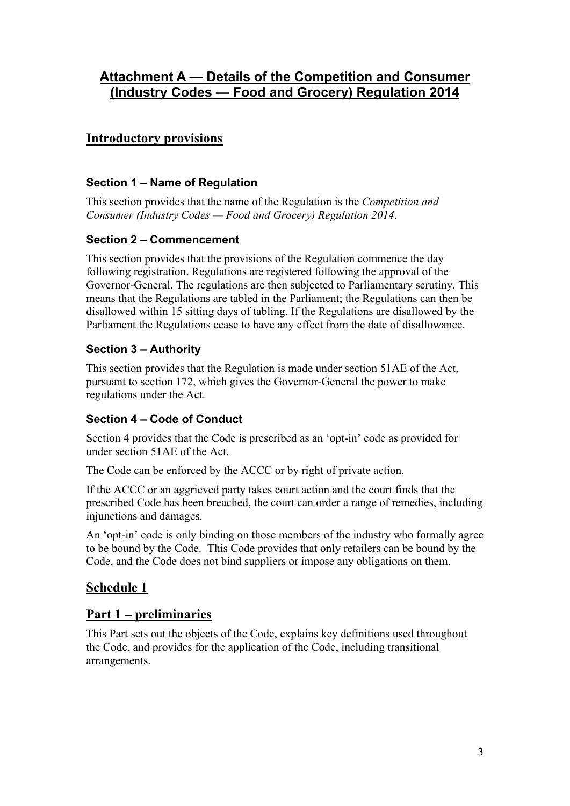## **Attachment A — Details of the Competition and Consumer (Industry Codes — Food and Grocery) Regulation 2014**

## **Introductory provisions**

### **Section 1 – Name of Regulation**

This section provides that the name of the Regulation is the *Competition and Consumer (Industry Codes — Food and Grocery) Regulation 2014*.

### **Section 2 – Commencement**

This section provides that the provisions of the Regulation commence the day following registration. Regulations are registered following the approval of the Governor-General. The regulations are then subjected to Parliamentary scrutiny. This means that the Regulations are tabled in the Parliament; the Regulations can then be disallowed within 15 sitting days of tabling. If the Regulations are disallowed by the Parliament the Regulations cease to have any effect from the date of disallowance.

### **Section 3 – Authority**

This section provides that the Regulation is made under section 51AE of the Act, pursuant to section 172, which gives the Governor-General the power to make regulations under the Act.

### **Section 4 – Code of Conduct**

Section 4 provides that the Code is prescribed as an 'opt-in' code as provided for under section 51AE of the Act.

The Code can be enforced by the ACCC or by right of private action.

If the ACCC or an aggrieved party takes court action and the court finds that the prescribed Code has been breached, the court can order a range of remedies, including injunctions and damages.

An 'opt-in' code is only binding on those members of the industry who formally agree to be bound by the Code. This Code provides that only retailers can be bound by the Code, and the Code does not bind suppliers or impose any obligations on them.

## **Schedule 1**

### **Part 1 – preliminaries**

This Part sets out the objects of the Code, explains key definitions used throughout the Code, and provides for the application of the Code, including transitional arrangements.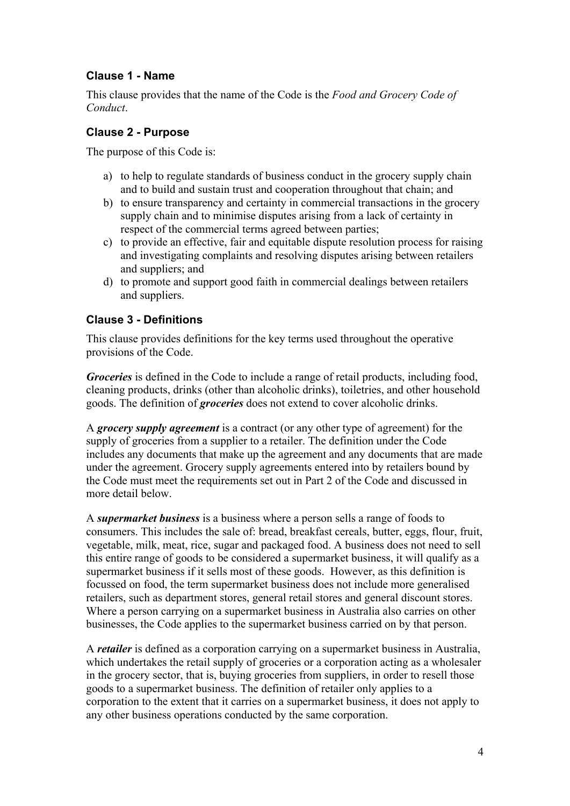#### **Clause 1 - Name**

This clause provides that the name of the Code is the *Food and Grocery Code of Conduct*.

#### **Clause 2 - Purpose**

The purpose of this Code is:

- a) to help to regulate standards of business conduct in the grocery supply chain and to build and sustain trust and cooperation throughout that chain; and
- b) to ensure transparency and certainty in commercial transactions in the grocery supply chain and to minimise disputes arising from a lack of certainty in respect of the commercial terms agreed between parties;
- c) to provide an effective, fair and equitable dispute resolution process for raising and investigating complaints and resolving disputes arising between retailers and suppliers; and
- d) to promote and support good faith in commercial dealings between retailers and suppliers.

#### **Clause 3 - Definitions**

This clause provides definitions for the key terms used throughout the operative provisions of the Code.

*Groceries* is defined in the Code to include a range of retail products, including food, cleaning products, drinks (other than alcoholic drinks), toiletries, and other household goods. The definition of *groceries* does not extend to cover alcoholic drinks.

A *grocery supply agreement* is a contract (or any other type of agreement) for the supply of groceries from a supplier to a retailer. The definition under the Code includes any documents that make up the agreement and any documents that are made under the agreement. Grocery supply agreements entered into by retailers bound by the Code must meet the requirements set out in Part 2 of the Code and discussed in more detail below.

A *supermarket business* is a business where a person sells a range of foods to consumers. This includes the sale of: bread, breakfast cereals, butter, eggs, flour, fruit, vegetable, milk, meat, rice, sugar and packaged food. A business does not need to sell this entire range of goods to be considered a supermarket business, it will qualify as a supermarket business if it sells most of these goods. However, as this definition is focussed on food, the term supermarket business does not include more generalised retailers, such as department stores, general retail stores and general discount stores. Where a person carrying on a supermarket business in Australia also carries on other businesses, the Code applies to the supermarket business carried on by that person.

A *retailer* is defined as a corporation carrying on a supermarket business in Australia, which undertakes the retail supply of groceries or a corporation acting as a wholesaler in the grocery sector, that is, buying groceries from suppliers, in order to resell those goods to a supermarket business. The definition of retailer only applies to a corporation to the extent that it carries on a supermarket business, it does not apply to any other business operations conducted by the same corporation.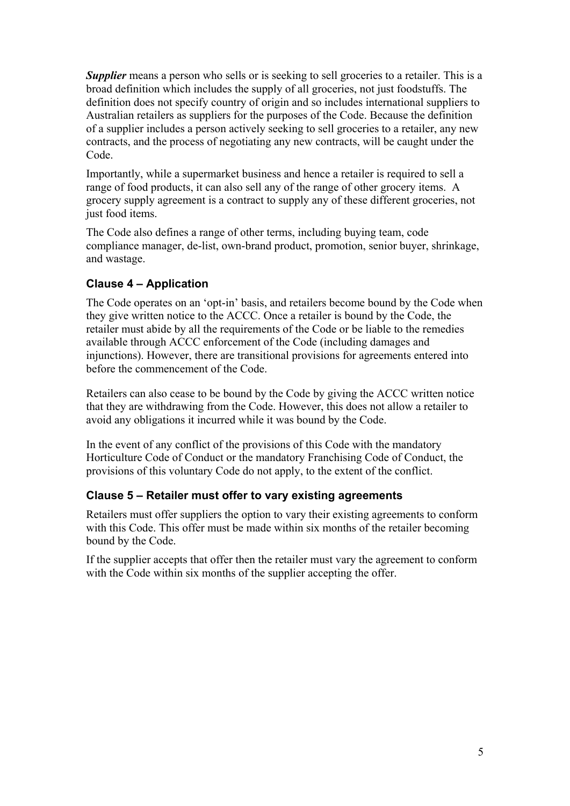**Supplier** means a person who sells or is seeking to sell groceries to a retailer. This is a broad definition which includes the supply of all groceries, not just foodstuffs. The definition does not specify country of origin and so includes international suppliers to Australian retailers as suppliers for the purposes of the Code. Because the definition of a supplier includes a person actively seeking to sell groceries to a retailer, any new contracts, and the process of negotiating any new contracts, will be caught under the Code.

Importantly, while a supermarket business and hence a retailer is required to sell a range of food products, it can also sell any of the range of other grocery items. A grocery supply agreement is a contract to supply any of these different groceries, not just food items.

The Code also defines a range of other terms, including buying team, code compliance manager, de-list, own-brand product, promotion, senior buyer, shrinkage, and wastage.

### **Clause 4 – Application**

The Code operates on an 'opt-in' basis, and retailers become bound by the Code when they give written notice to the ACCC. Once a retailer is bound by the Code, the retailer must abide by all the requirements of the Code or be liable to the remedies available through ACCC enforcement of the Code (including damages and injunctions). However, there are transitional provisions for agreements entered into before the commencement of the Code.

Retailers can also cease to be bound by the Code by giving the ACCC written notice that they are withdrawing from the Code. However, this does not allow a retailer to avoid any obligations it incurred while it was bound by the Code.

In the event of any conflict of the provisions of this Code with the mandatory Horticulture Code of Conduct or the mandatory Franchising Code of Conduct, the provisions of this voluntary Code do not apply, to the extent of the conflict.

#### **Clause 5 – Retailer must offer to vary existing agreements**

Retailers must offer suppliers the option to vary their existing agreements to conform with this Code. This offer must be made within six months of the retailer becoming bound by the Code.

If the supplier accepts that offer then the retailer must vary the agreement to conform with the Code within six months of the supplier accepting the offer.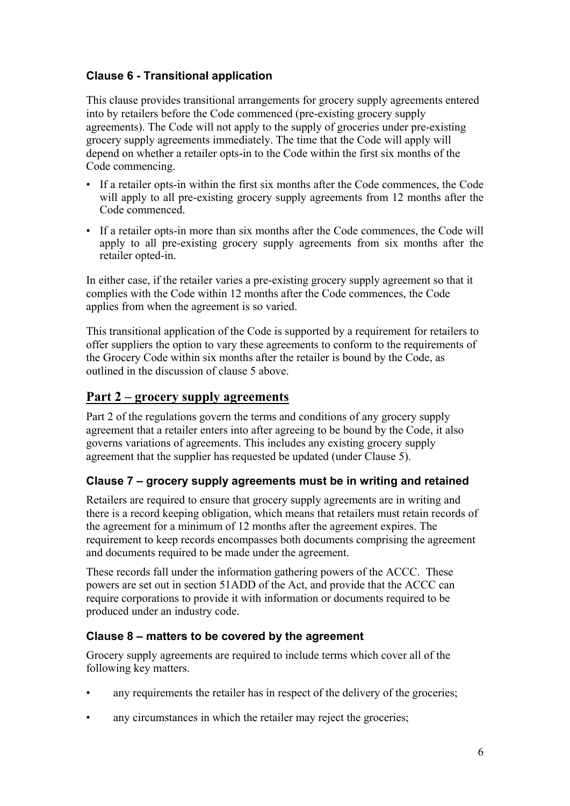## **Clause 6 - Transitional application**

This clause provides transitional arrangements for grocery supply agreements entered into by retailers before the Code commenced (pre-existing grocery supply agreements). The Code will not apply to the supply of groceries under pre-existing grocery supply agreements immediately. The time that the Code will apply will depend on whether a retailer opts-in to the Code within the first six months of the Code commencing.

- If a retailer opts-in within the first six months after the Code commences, the Code will apply to all pre-existing grocery supply agreements from 12 months after the Code commenced.
- If a retailer opts-in more than six months after the Code commences, the Code will apply to all pre-existing grocery supply agreements from six months after the retailer opted-in.

In either case, if the retailer varies a pre-existing grocery supply agreement so that it complies with the Code within 12 months after the Code commences, the Code applies from when the agreement is so varied.

This transitional application of the Code is supported by a requirement for retailers to offer suppliers the option to vary these agreements to conform to the requirements of the Grocery Code within six months after the retailer is bound by the Code, as outlined in the discussion of clause 5 above.

## **Part 2 – grocery supply agreements**

Part 2 of the regulations govern the terms and conditions of any grocery supply agreement that a retailer enters into after agreeing to be bound by the Code, it also governs variations of agreements. This includes any existing grocery supply agreement that the supplier has requested be updated (under Clause 5).

## **Clause 7 – grocery supply agreements must be in writing and retained**

Retailers are required to ensure that grocery supply agreements are in writing and there is a record keeping obligation, which means that retailers must retain records of the agreement for a minimum of 12 months after the agreement expires. The requirement to keep records encompasses both documents comprising the agreement and documents required to be made under the agreement.

These records fall under the information gathering powers of the ACCC. These powers are set out in section 51ADD of the Act, and provide that the ACCC can require corporations to provide it with information or documents required to be produced under an industry code.

### **Clause 8 – matters to be covered by the agreement**

Grocery supply agreements are required to include terms which cover all of the following key matters.

- any requirements the retailer has in respect of the delivery of the groceries;
- any circumstances in which the retailer may reject the groceries;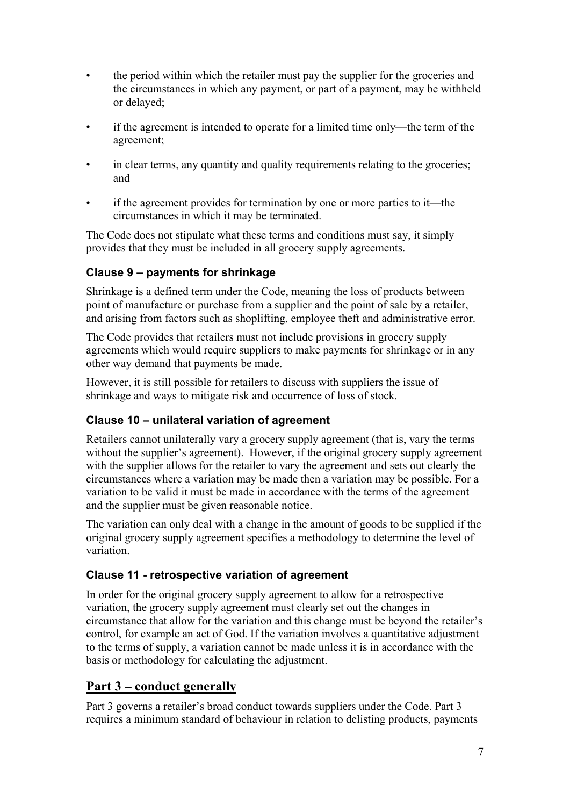- the period within which the retailer must pay the supplier for the groceries and the circumstances in which any payment, or part of a payment, may be withheld or delayed;
- if the agreement is intended to operate for a limited time only—the term of the agreement;
- in clear terms, any quantity and quality requirements relating to the groceries; and
- if the agreement provides for termination by one or more parties to it—the circumstances in which it may be terminated.

The Code does not stipulate what these terms and conditions must say, it simply provides that they must be included in all grocery supply agreements.

## **Clause 9 – payments for shrinkage**

Shrinkage is a defined term under the Code, meaning the loss of products between point of manufacture or purchase from a supplier and the point of sale by a retailer, and arising from factors such as shoplifting, employee theft and administrative error.

The Code provides that retailers must not include provisions in grocery supply agreements which would require suppliers to make payments for shrinkage or in any other way demand that payments be made.

However, it is still possible for retailers to discuss with suppliers the issue of shrinkage and ways to mitigate risk and occurrence of loss of stock.

### **Clause 10 – unilateral variation of agreement**

Retailers cannot unilaterally vary a grocery supply agreement (that is, vary the terms without the supplier's agreement). However, if the original grocery supply agreement with the supplier allows for the retailer to vary the agreement and sets out clearly the circumstances where a variation may be made then a variation may be possible. For a variation to be valid it must be made in accordance with the terms of the agreement and the supplier must be given reasonable notice.

The variation can only deal with a change in the amount of goods to be supplied if the original grocery supply agreement specifies a methodology to determine the level of variation.

### **Clause 11 - retrospective variation of agreement**

In order for the original grocery supply agreement to allow for a retrospective variation, the grocery supply agreement must clearly set out the changes in circumstance that allow for the variation and this change must be beyond the retailer's control, for example an act of God. If the variation involves a quantitative adjustment to the terms of supply, a variation cannot be made unless it is in accordance with the basis or methodology for calculating the adjustment.

## **Part 3 – conduct generally**

Part 3 governs a retailer's broad conduct towards suppliers under the Code. Part 3 requires a minimum standard of behaviour in relation to delisting products, payments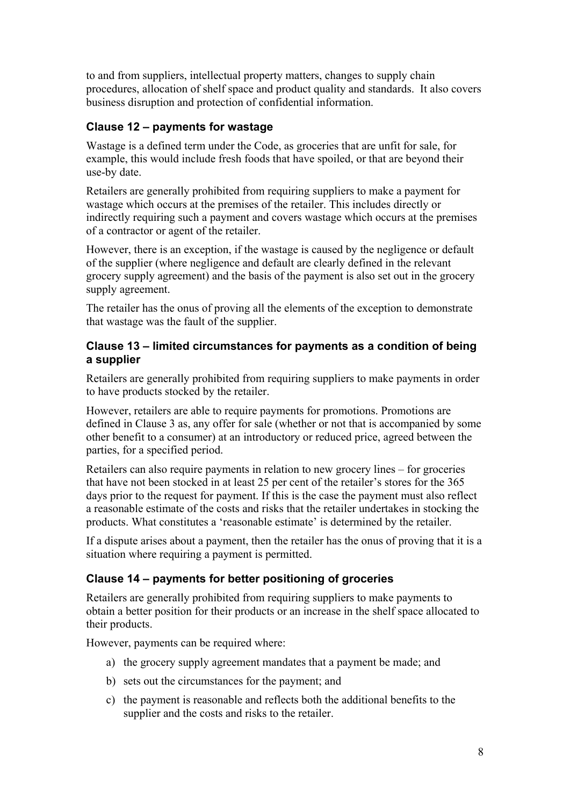to and from suppliers, intellectual property matters, changes to supply chain procedures, allocation of shelf space and product quality and standards. It also covers business disruption and protection of confidential information.

### **Clause 12 – payments for wastage**

Wastage is a defined term under the Code, as groceries that are unfit for sale, for example, this would include fresh foods that have spoiled, or that are beyond their use-by date.

Retailers are generally prohibited from requiring suppliers to make a payment for wastage which occurs at the premises of the retailer. This includes directly or indirectly requiring such a payment and covers wastage which occurs at the premises of a contractor or agent of the retailer.

However, there is an exception, if the wastage is caused by the negligence or default of the supplier (where negligence and default are clearly defined in the relevant grocery supply agreement) and the basis of the payment is also set out in the grocery supply agreement.

The retailer has the onus of proving all the elements of the exception to demonstrate that wastage was the fault of the supplier.

#### **Clause 13 – limited circumstances for payments as a condition of being a supplier**

Retailers are generally prohibited from requiring suppliers to make payments in order to have products stocked by the retailer.

However, retailers are able to require payments for promotions. Promotions are defined in Clause 3 as, any offer for sale (whether or not that is accompanied by some other benefit to a consumer) at an introductory or reduced price, agreed between the parties, for a specified period.

Retailers can also require payments in relation to new grocery lines – for groceries that have not been stocked in at least 25 per cent of the retailer's stores for the 365 days prior to the request for payment. If this is the case the payment must also reflect a reasonable estimate of the costs and risks that the retailer undertakes in stocking the products. What constitutes a 'reasonable estimate' is determined by the retailer.

If a dispute arises about a payment, then the retailer has the onus of proving that it is a situation where requiring a payment is permitted.

#### **Clause 14 – payments for better positioning of groceries**

Retailers are generally prohibited from requiring suppliers to make payments to obtain a better position for their products or an increase in the shelf space allocated to their products.

However, payments can be required where:

- a) the grocery supply agreement mandates that a payment be made; and
- b) sets out the circumstances for the payment; and
- c) the payment is reasonable and reflects both the additional benefits to the supplier and the costs and risks to the retailer.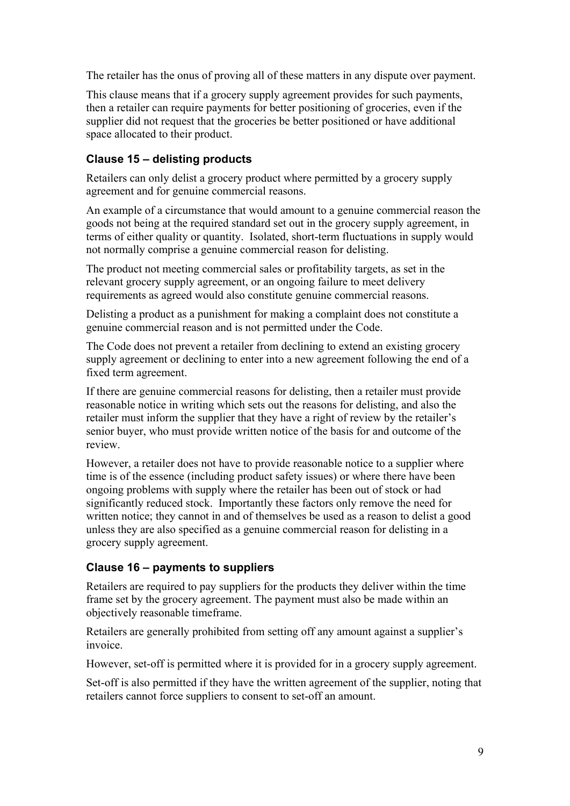The retailer has the onus of proving all of these matters in any dispute over payment.

This clause means that if a grocery supply agreement provides for such payments, then a retailer can require payments for better positioning of groceries, even if the supplier did not request that the groceries be better positioned or have additional space allocated to their product.

### **Clause 15 – delisting products**

Retailers can only delist a grocery product where permitted by a grocery supply agreement and for genuine commercial reasons.

An example of a circumstance that would amount to a genuine commercial reason the goods not being at the required standard set out in the grocery supply agreement, in terms of either quality or quantity. Isolated, short-term fluctuations in supply would not normally comprise a genuine commercial reason for delisting.

The product not meeting commercial sales or profitability targets, as set in the relevant grocery supply agreement, or an ongoing failure to meet delivery requirements as agreed would also constitute genuine commercial reasons.

Delisting a product as a punishment for making a complaint does not constitute a genuine commercial reason and is not permitted under the Code.

The Code does not prevent a retailer from declining to extend an existing grocery supply agreement or declining to enter into a new agreement following the end of a fixed term agreement.

If there are genuine commercial reasons for delisting, then a retailer must provide reasonable notice in writing which sets out the reasons for delisting, and also the retailer must inform the supplier that they have a right of review by the retailer's senior buyer, who must provide written notice of the basis for and outcome of the review.

However, a retailer does not have to provide reasonable notice to a supplier where time is of the essence (including product safety issues) or where there have been ongoing problems with supply where the retailer has been out of stock or had significantly reduced stock. Importantly these factors only remove the need for written notice; they cannot in and of themselves be used as a reason to delist a good unless they are also specified as a genuine commercial reason for delisting in a grocery supply agreement.

### **Clause 16 – payments to suppliers**

Retailers are required to pay suppliers for the products they deliver within the time frame set by the grocery agreement. The payment must also be made within an objectively reasonable timeframe.

Retailers are generally prohibited from setting off any amount against a supplier's invoice.

However, set-off is permitted where it is provided for in a grocery supply agreement.

Set-off is also permitted if they have the written agreement of the supplier, noting that retailers cannot force suppliers to consent to set-off an amount.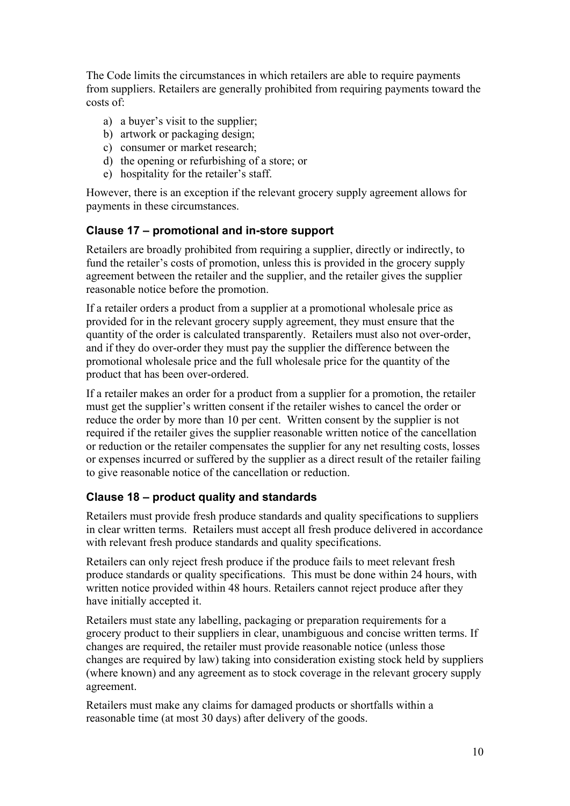The Code limits the circumstances in which retailers are able to require payments from suppliers. Retailers are generally prohibited from requiring payments toward the costs of:

- a) a buyer's visit to the supplier;
- b) artwork or packaging design;
- c) consumer or market research;
- d) the opening or refurbishing of a store; or
- e) hospitality for the retailer's staff.

However, there is an exception if the relevant grocery supply agreement allows for payments in these circumstances.

#### **Clause 17 – promotional and in-store support**

Retailers are broadly prohibited from requiring a supplier, directly or indirectly, to fund the retailer's costs of promotion, unless this is provided in the grocery supply agreement between the retailer and the supplier, and the retailer gives the supplier reasonable notice before the promotion.

If a retailer orders a product from a supplier at a promotional wholesale price as provided for in the relevant grocery supply agreement, they must ensure that the quantity of the order is calculated transparently. Retailers must also not over-order, and if they do over-order they must pay the supplier the difference between the promotional wholesale price and the full wholesale price for the quantity of the product that has been over-ordered.

If a retailer makes an order for a product from a supplier for a promotion, the retailer must get the supplier's written consent if the retailer wishes to cancel the order or reduce the order by more than 10 per cent. Written consent by the supplier is not required if the retailer gives the supplier reasonable written notice of the cancellation or reduction or the retailer compensates the supplier for any net resulting costs, losses or expenses incurred or suffered by the supplier as a direct result of the retailer failing to give reasonable notice of the cancellation or reduction.

### **Clause 18 – product quality and standards**

Retailers must provide fresh produce standards and quality specifications to suppliers in clear written terms. Retailers must accept all fresh produce delivered in accordance with relevant fresh produce standards and quality specifications.

Retailers can only reject fresh produce if the produce fails to meet relevant fresh produce standards or quality specifications. This must be done within 24 hours, with written notice provided within 48 hours. Retailers cannot reject produce after they have initially accepted it.

Retailers must state any labelling, packaging or preparation requirements for a grocery product to their suppliers in clear, unambiguous and concise written terms. If changes are required, the retailer must provide reasonable notice (unless those changes are required by law) taking into consideration existing stock held by suppliers (where known) and any agreement as to stock coverage in the relevant grocery supply agreement.

Retailers must make any claims for damaged products or shortfalls within a reasonable time (at most 30 days) after delivery of the goods.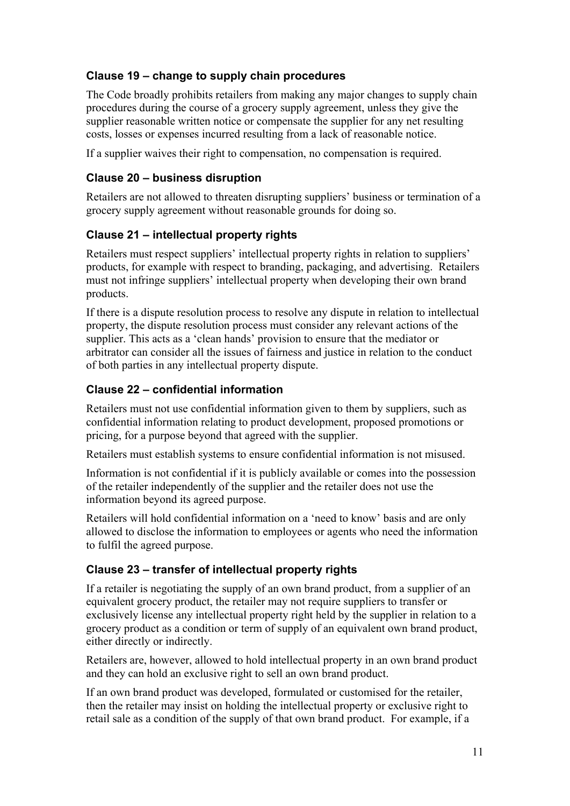### **Clause 19 – change to supply chain procedures**

The Code broadly prohibits retailers from making any major changes to supply chain procedures during the course of a grocery supply agreement, unless they give the supplier reasonable written notice or compensate the supplier for any net resulting costs, losses or expenses incurred resulting from a lack of reasonable notice.

If a supplier waives their right to compensation, no compensation is required.

### **Clause 20 – business disruption**

Retailers are not allowed to threaten disrupting suppliers' business or termination of a grocery supply agreement without reasonable grounds for doing so.

### **Clause 21 – intellectual property rights**

Retailers must respect suppliers' intellectual property rights in relation to suppliers' products, for example with respect to branding, packaging, and advertising. Retailers must not infringe suppliers' intellectual property when developing their own brand products.

If there is a dispute resolution process to resolve any dispute in relation to intellectual property, the dispute resolution process must consider any relevant actions of the supplier. This acts as a 'clean hands' provision to ensure that the mediator or arbitrator can consider all the issues of fairness and justice in relation to the conduct of both parties in any intellectual property dispute.

### **Clause 22 – confidential information**

Retailers must not use confidential information given to them by suppliers, such as confidential information relating to product development, proposed promotions or pricing, for a purpose beyond that agreed with the supplier.

Retailers must establish systems to ensure confidential information is not misused.

Information is not confidential if it is publicly available or comes into the possession of the retailer independently of the supplier and the retailer does not use the information beyond its agreed purpose.

Retailers will hold confidential information on a 'need to know' basis and are only allowed to disclose the information to employees or agents who need the information to fulfil the agreed purpose.

### **Clause 23 – transfer of intellectual property rights**

If a retailer is negotiating the supply of an own brand product, from a supplier of an equivalent grocery product, the retailer may not require suppliers to transfer or exclusively license any intellectual property right held by the supplier in relation to a grocery product as a condition or term of supply of an equivalent own brand product, either directly or indirectly.

Retailers are, however, allowed to hold intellectual property in an own brand product and they can hold an exclusive right to sell an own brand product.

If an own brand product was developed, formulated or customised for the retailer, then the retailer may insist on holding the intellectual property or exclusive right to retail sale as a condition of the supply of that own brand product. For example, if a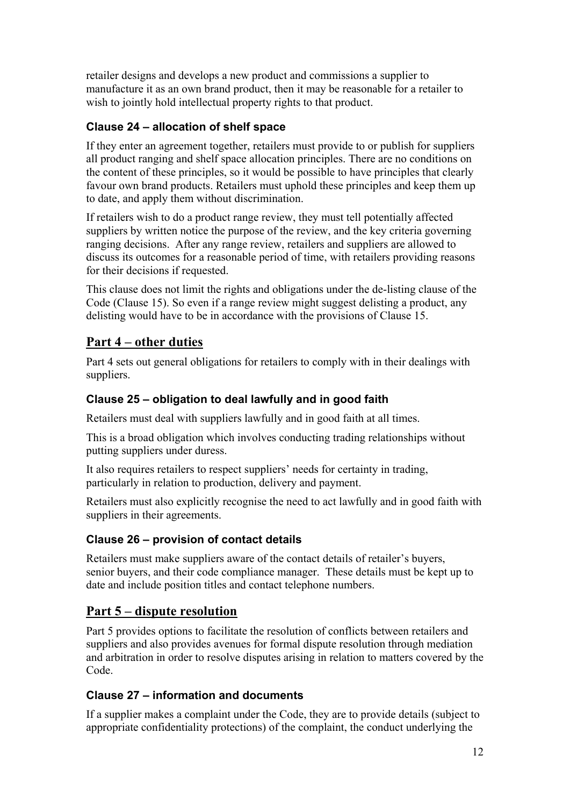retailer designs and develops a new product and commissions a supplier to manufacture it as an own brand product, then it may be reasonable for a retailer to wish to jointly hold intellectual property rights to that product.

### **Clause 24 – allocation of shelf space**

If they enter an agreement together, retailers must provide to or publish for suppliers all product ranging and shelf space allocation principles. There are no conditions on the content of these principles, so it would be possible to have principles that clearly favour own brand products. Retailers must uphold these principles and keep them up to date, and apply them without discrimination.

If retailers wish to do a product range review, they must tell potentially affected suppliers by written notice the purpose of the review, and the key criteria governing ranging decisions. After any range review, retailers and suppliers are allowed to discuss its outcomes for a reasonable period of time, with retailers providing reasons for their decisions if requested.

This clause does not limit the rights and obligations under the de-listing clause of the Code (Clause 15). So even if a range review might suggest delisting a product, any delisting would have to be in accordance with the provisions of Clause 15.

## **Part 4 – other duties**

Part 4 sets out general obligations for retailers to comply with in their dealings with suppliers.

### **Clause 25 – obligation to deal lawfully and in good faith**

Retailers must deal with suppliers lawfully and in good faith at all times.

This is a broad obligation which involves conducting trading relationships without putting suppliers under duress.

It also requires retailers to respect suppliers' needs for certainty in trading, particularly in relation to production, delivery and payment.

Retailers must also explicitly recognise the need to act lawfully and in good faith with suppliers in their agreements.

## **Clause 26 – provision of contact details**

Retailers must make suppliers aware of the contact details of retailer's buyers, senior buyers, and their code compliance manager. These details must be kept up to date and include position titles and contact telephone numbers.

## **Part 5 – dispute resolution**

Part 5 provides options to facilitate the resolution of conflicts between retailers and suppliers and also provides avenues for formal dispute resolution through mediation and arbitration in order to resolve disputes arising in relation to matters covered by the Code.

### **Clause 27 – information and documents**

If a supplier makes a complaint under the Code, they are to provide details (subject to appropriate confidentiality protections) of the complaint, the conduct underlying the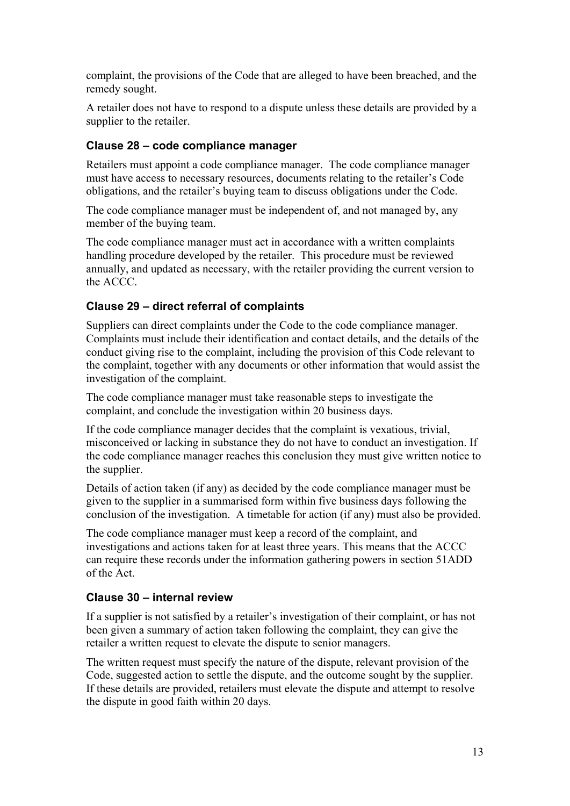complaint, the provisions of the Code that are alleged to have been breached, and the remedy sought.

A retailer does not have to respond to a dispute unless these details are provided by a supplier to the retailer.

#### **Clause 28 – code compliance manager**

Retailers must appoint a code compliance manager. The code compliance manager must have access to necessary resources, documents relating to the retailer's Code obligations, and the retailer's buying team to discuss obligations under the Code.

The code compliance manager must be independent of, and not managed by, any member of the buying team.

The code compliance manager must act in accordance with a written complaints handling procedure developed by the retailer. This procedure must be reviewed annually, and updated as necessary, with the retailer providing the current version to the ACCC.

#### **Clause 29 – direct referral of complaints**

Suppliers can direct complaints under the Code to the code compliance manager. Complaints must include their identification and contact details, and the details of the conduct giving rise to the complaint, including the provision of this Code relevant to the complaint, together with any documents or other information that would assist the investigation of the complaint.

The code compliance manager must take reasonable steps to investigate the complaint, and conclude the investigation within 20 business days.

If the code compliance manager decides that the complaint is vexatious, trivial, misconceived or lacking in substance they do not have to conduct an investigation. If the code compliance manager reaches this conclusion they must give written notice to the supplier.

Details of action taken (if any) as decided by the code compliance manager must be given to the supplier in a summarised form within five business days following the conclusion of the investigation. A timetable for action (if any) must also be provided.

The code compliance manager must keep a record of the complaint, and investigations and actions taken for at least three years. This means that the ACCC can require these records under the information gathering powers in section 51ADD of the Act.

#### **Clause 30 – internal review**

If a supplier is not satisfied by a retailer's investigation of their complaint, or has not been given a summary of action taken following the complaint, they can give the retailer a written request to elevate the dispute to senior managers.

The written request must specify the nature of the dispute, relevant provision of the Code, suggested action to settle the dispute, and the outcome sought by the supplier. If these details are provided, retailers must elevate the dispute and attempt to resolve the dispute in good faith within 20 days.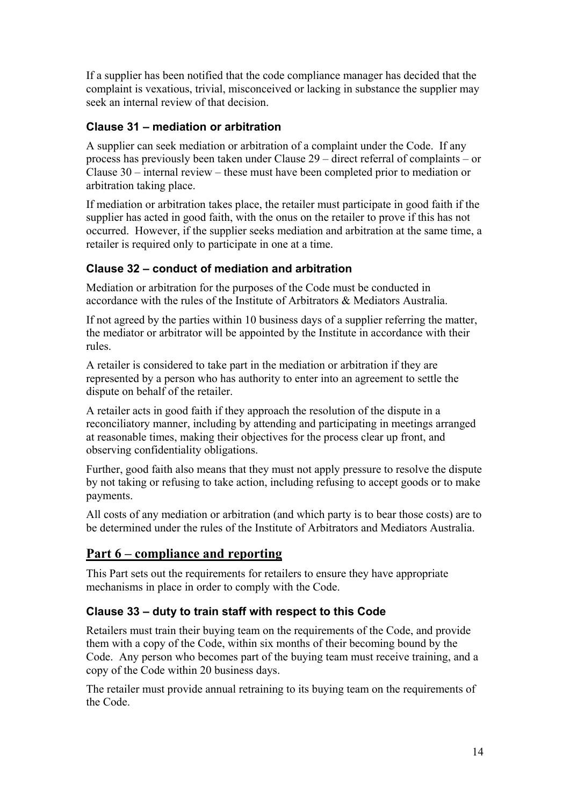If a supplier has been notified that the code compliance manager has decided that the complaint is vexatious, trivial, misconceived or lacking in substance the supplier may seek an internal review of that decision.

### **Clause 31 – mediation or arbitration**

A supplier can seek mediation or arbitration of a complaint under the Code. If any process has previously been taken under Clause 29 – direct referral of complaints – or Clause 30 – internal review – these must have been completed prior to mediation or arbitration taking place.

If mediation or arbitration takes place, the retailer must participate in good faith if the supplier has acted in good faith, with the onus on the retailer to prove if this has not occurred. However, if the supplier seeks mediation and arbitration at the same time, a retailer is required only to participate in one at a time.

### **Clause 32 – conduct of mediation and arbitration**

Mediation or arbitration for the purposes of the Code must be conducted in accordance with the rules of the Institute of Arbitrators & Mediators Australia.

If not agreed by the parties within 10 business days of a supplier referring the matter, the mediator or arbitrator will be appointed by the Institute in accordance with their rules.

A retailer is considered to take part in the mediation or arbitration if they are represented by a person who has authority to enter into an agreement to settle the dispute on behalf of the retailer.

A retailer acts in good faith if they approach the resolution of the dispute in a reconciliatory manner, including by attending and participating in meetings arranged at reasonable times, making their objectives for the process clear up front, and observing confidentiality obligations.

Further, good faith also means that they must not apply pressure to resolve the dispute by not taking or refusing to take action, including refusing to accept goods or to make payments.

All costs of any mediation or arbitration (and which party is to bear those costs) are to be determined under the rules of the Institute of Arbitrators and Mediators Australia.

## **Part 6 – compliance and reporting**

This Part sets out the requirements for retailers to ensure they have appropriate mechanisms in place in order to comply with the Code.

### **Clause 33 – duty to train staff with respect to this Code**

Retailers must train their buying team on the requirements of the Code, and provide them with a copy of the Code, within six months of their becoming bound by the Code. Any person who becomes part of the buying team must receive training, and a copy of the Code within 20 business days.

The retailer must provide annual retraining to its buying team on the requirements of the Code.